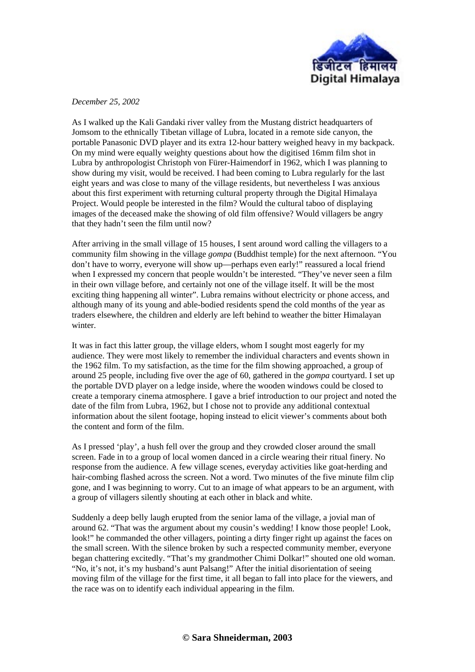

*December 25, 2002*

As I walked up the Kali Gandaki river valley from the Mustang district headquarters of Jomsom to the ethnically Tibetan village of Lubra, located in a remote side canyon, the portable Panasonic DVD player and its extra 12-hour battery weighed heavy in my backpack. On my mind were equally weighty questions about how the digitised 16mm film shot in Lubra by anthropologist Christoph von Fürer-Haimendorf in 1962, which I was planning to show during my visit, would be received. I had been coming to Lubra regularly for the last eight years and was close to many of the village residents, but nevertheless I was anxious about this first experiment with returning cultural property through the Digital Himalaya Project. Would people be interested in the film? Would the cultural taboo of displaying images of the deceased make the showing of old film offensive? Would villagers be angry that they hadn't seen the film until now?

After arriving in the small village of 15 houses, I sent around word calling the villagers to a community film showing in the village *gompa* (Buddhist temple) for the next afternoon. "You don't have to worry, everyone will show up—perhaps even early!" reassured a local friend when I expressed my concern that people wouldn't be interested. "They've never seen a film in their own village before, and certainly not one of the village itself. It will be the most exciting thing happening all winter". Lubra remains without electricity or phone access, and although many of its young and able-bodied residents spend the cold months of the year as traders elsewhere, the children and elderly are left behind to weather the bitter Himalayan winter.

It was in fact this latter group, the village elders, whom I sought most eagerly for my audience. They were most likely to remember the individual characters and events shown in the 1962 film. To my satisfaction, as the time for the film showing approached, a group of around 25 people, including five over the age of 60, gathered in the *gompa* courtyard. I set up the portable DVD player on a ledge inside, where the wooden windows could be closed to create a temporary cinema atmosphere. I gave a brief introduction to our project and noted the date of the film from Lubra, 1962, but I chose not to provide any additional contextual information about the silent footage, hoping instead to elicit viewer's comments about both the content and form of the film.

As I pressed 'play', a hush fell over the group and they crowded closer around the small screen. Fade in to a group of local women danced in a circle wearing their ritual finery. No response from the audience. A few village scenes, everyday activities like goat-herding and hair-combing flashed across the screen. Not a word. Two minutes of the five minute film clip gone, and I was beginning to worry. Cut to an image of what appears to be an argument, with a group of villagers silently shouting at each other in black and white.

Suddenly a deep belly laugh erupted from the senior lama of the village, a jovial man of around 62. "That was the argument about my cousin's wedding! I know those people! Look, look!" he commanded the other villagers, pointing a dirty finger right up against the faces on the small screen. With the silence broken by such a respected community member, everyone began chattering excitedly. "That's my grandmother Chimi Dolkar!" shouted one old woman. "No, it's not, it's my husband's aunt Palsang!" After the initial disorientation of seeing moving film of the village for the first time, it all began to fall into place for the viewers, and the race was on to identify each individual appearing in the film.